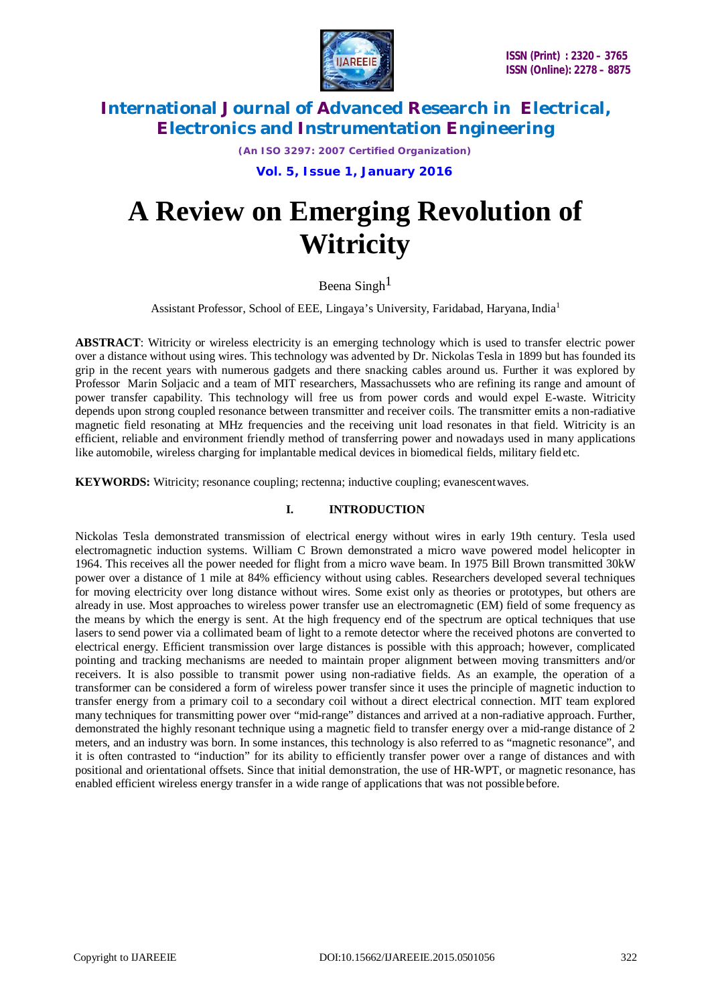

*(An ISO 3297: 2007 Certified Organization)*

 **Vol. 5, Issue 1, January 2016**

# **A Review on Emerging Revolution of Witricity**

Beena Singh<sup>1</sup>

Assistant Professor, School of EEE, Lingaya's University, Faridabad, Haryana, India<sup>1</sup>

**ABSTRACT**: Witricity or wireless electricity is an emerging technology which is used to transfer electric power over a distance without using wires. This technology was advented by Dr. Nickolas Tesla in 1899 but has founded its grip in the recent years with numerous gadgets and there snacking cables around us. Further it was explored by Professor Marin Soljacic and a team of MIT researchers, Massachussets who are refining its range and amount of power transfer capability. This technology will free us from power cords and would expel E-waste. Witricity depends upon strong coupled resonance between transmitter and receiver coils. The transmitter emits a non-radiative magnetic field resonating at MHz frequencies and the receiving unit load resonates in that field. Witricity is an efficient, reliable and environment friendly method of transferring power and nowadays used in many applications like automobile, wireless charging for implantable medical devices in biomedical fields, military field etc.

**KEYWORDS:** Witricity; resonance coupling; rectenna; inductive coupling; evanescentwaves.

### **I. INTRODUCTION**

Nickolas Tesla demonstrated transmission of electrical energy without wires in early 19th century. Tesla used electromagnetic induction systems. William C Brown demonstrated a micro wave powered model helicopter in 1964. This receives all the power needed for flight from a micro wave beam. In 1975 Bill Brown transmitted 30kW power over a distance of 1 mile at 84% efficiency without using cables. Researchers developed several techniques for moving electricity over long distance without wires. Some exist only as theories or prototypes, but others are already in use. Most approaches to wireless power transfer use an electromagnetic (EM) field of some frequency as the means by which the energy is sent. At the high frequency end of the spectrum are optical techniques that use lasers to send power via a collimated beam of light to a remote detector where the received photons are converted to electrical energy. Efficient transmission over large distances is possible with this approach; however, complicated pointing and tracking mechanisms are needed to maintain proper alignment between moving transmitters and/or receivers. It is also possible to transmit power using non-radiative fields. As an example, the operation of a transformer can be considered a form of wireless power transfer since it uses the principle of magnetic induction to transfer energy from a primary coil to a secondary coil without a direct electrical connection. MIT team explored many techniques for transmitting power over "mid-range" distances and arrived at a non-radiative approach. Further, demonstrated the highly resonant technique using a magnetic field to transfer energy over a mid-range distance of 2 meters, and an industry was born. In some instances, this technology is also referred to as "magnetic resonance", and it is often contrasted to "induction" for its ability to efficiently transfer power over a range of distances and with positional and orientational offsets. Since that initial demonstration, the use of HR-WPT, or magnetic resonance, has enabled efficient wireless energy transfer in a wide range of applications that was not possible before.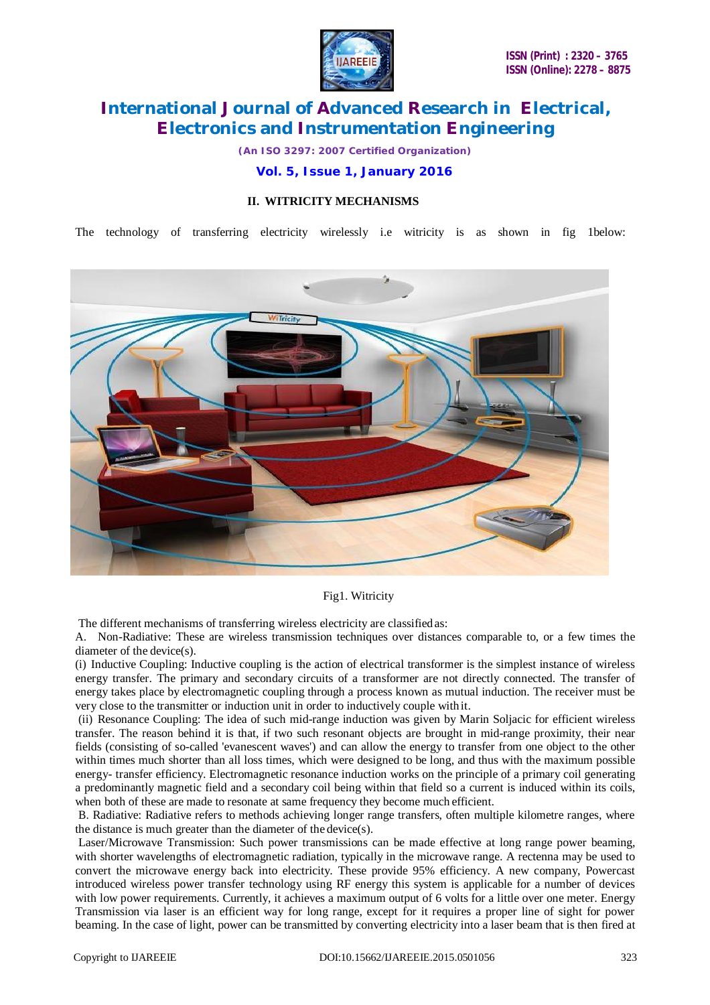

*(An ISO 3297: 2007 Certified Organization)*

 **Vol. 5, Issue 1, January 2016**

### **II. WITRICITY MECHANISMS**

The technology of transferring electricity wirelessly i.e witricity is as shown in fig 1below:



#### Fig1. Witricity

The different mechanisms of transferring wireless electricity are classifiedas:

A. Non-Radiative: These are wireless transmission techniques over distances comparable to, or a few times the diameter of the device(s).

(i) Inductive Coupling: Inductive coupling is the action of electrical transformer is the simplest instance of wireless energy transfer. The primary and secondary circuits of a transformer are not directly connected. The transfer of energy takes place by electromagnetic coupling through a process known as mutual induction. The receiver must be very close to the transmitter or induction unit in order to inductively couple with it.

(ii) Resonance Coupling: The idea of such mid-range induction was given by Marin Soljacic for efficient wireless transfer. The reason behind it is that, if two such resonant objects are brought in mid-range proximity, their near fields (consisting of so-called 'evanescent waves') and can allow the energy to transfer from one object to the other within times much shorter than all loss times, which were designed to be long, and thus with the maximum possible energy- transfer efficiency. Electromagnetic resonance induction works on the principle of a primary coil generating a predominantly magnetic field and a secondary coil being within that field so a current is induced within its coils, when both of these are made to resonate at same frequency they become much efficient.

B. Radiative: Radiative refers to methods achieving longer range transfers, often multiple kilometre ranges, where the distance is much greater than the diameter of the device(s).

Laser/Microwave Transmission: Such power transmissions can be made effective at long range power beaming, with shorter wavelengths of electromagnetic radiation, typically in the microwave range. A rectenna may be used to convert the microwave energy back into electricity. These provide 95% efficiency. A new company, Powercast introduced wireless power transfer technology using RF energy this system is applicable for a number of devices with low power requirements. Currently, it achieves a maximum output of 6 volts for a little over one meter. Energy Transmission via laser is an efficient way for long range, except for it requires a proper line of sight for power beaming. In the case of light, power can be transmitted by converting electricity into a laser beam that is then fired at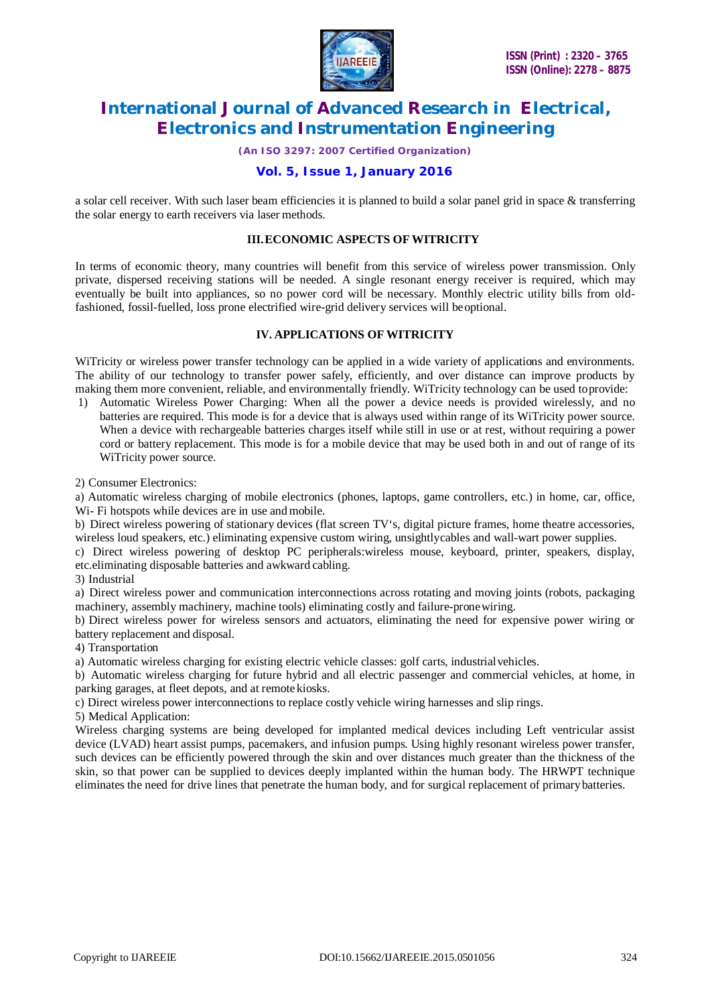

*(An ISO 3297: 2007 Certified Organization)*

# **Vol. 5, Issue 1, January 2016**

a solar cell receiver. With such laser beam efficiencies it is planned to build a solar panel grid in space & transferring the solar energy to earth receivers via laser methods.

#### **III.ECONOMIC ASPECTS OF WITRICITY**

In terms of economic theory, many countries will benefit from this service of wireless power transmission. Only private, dispersed receiving stations will be needed. A single resonant energy receiver is required, which may eventually be built into appliances, so no power cord will be necessary. Monthly electric utility bills from oldfashioned, fossil-fuelled, loss prone electrified wire-grid delivery services will beoptional.

#### **IV. APPLICATIONS OF WITRICITY**

WiTricity or wireless power transfer technology can be applied in a wide variety of applications and environments. The ability of our technology to transfer power safely, efficiently, and over distance can improve products by making them more convenient, reliable, and environmentally friendly. WiTricity technology can be used toprovide:

1) Automatic Wireless Power Charging: When all the power a device needs is provided wirelessly, and no batteries are required. This mode is for a device that is always used within range of its WiTricity power source. When a device with rechargeable batteries charges itself while still in use or at rest, without requiring a power cord or battery replacement. This mode is for a mobile device that may be used both in and out of range of its WiTricity power source.

2) Consumer Electronics:

a) Automatic wireless charging of mobile electronics (phones, laptops, game controllers, etc.) in home, car, office, Wi- Fi hotspots while devices are in use andmobile.

b) Direct wireless powering of stationary devices (flat screen TV's, digital picture frames, home theatre accessories, wireless loud speakers, etc.) eliminating expensive custom wiring, unsightlycables and wall-wart power supplies.

c) Direct wireless powering of desktop PC peripherals:wireless mouse, keyboard, printer, speakers, display, etc.eliminating disposable batteries and awkward cabling.

3) Industrial

a) Direct wireless power and communication interconnections across rotating and moving joints (robots, packaging machinery, assembly machinery, machine tools) eliminating costly and failure-pronewiring.

b) Direct wireless power for wireless sensors and actuators, eliminating the need for expensive power wiring or battery replacement and disposal.

4) Transportation

a) Automatic wireless charging for existing electric vehicle classes: golf carts, industrialvehicles.

b) Automatic wireless charging for future hybrid and all electric passenger and commercial vehicles, at home, in parking garages, at fleet depots, and at remote kiosks.

c) Direct wireless power interconnections to replace costly vehicle wiring harnesses and slip rings.

5) Medical Application:

Wireless charging systems are being developed for implanted medical devices including Left ventricular assist device (LVAD) heart assist pumps, pacemakers, and infusion pumps. Using highly resonant wireless power transfer, such devices can be efficiently powered through the skin and over distances much greater than the thickness of the skin, so that power can be supplied to devices deeply implanted within the human body. The HRWPT technique eliminates the need for drive lines that penetrate the human body, and for surgical replacement of primarybatteries.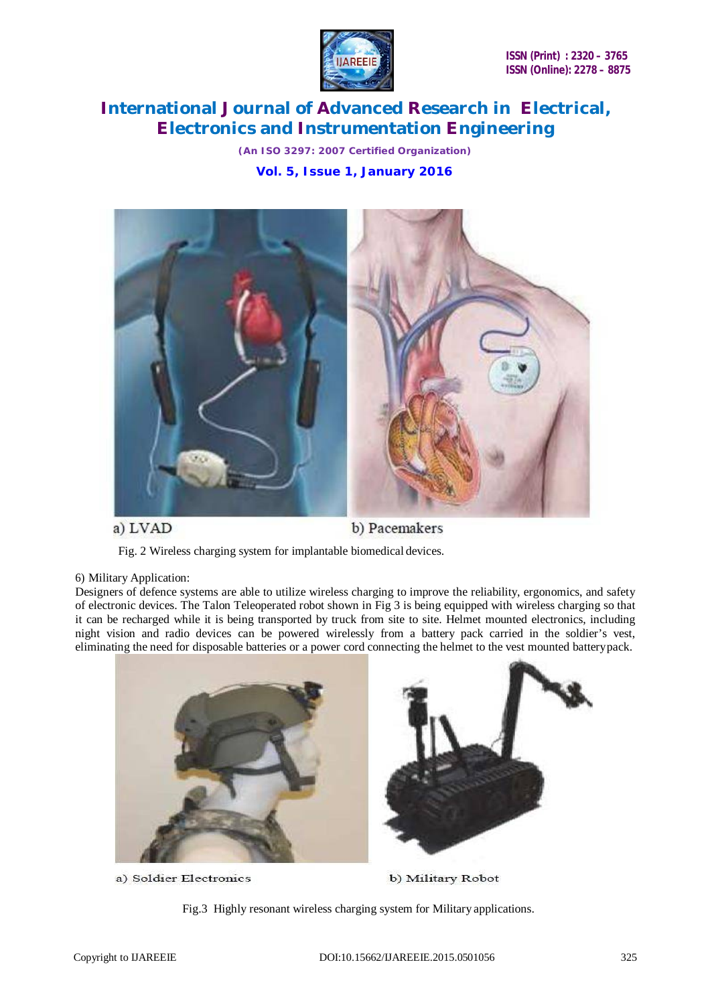

*(An ISO 3297: 2007 Certified Organization)*  **Vol. 5, Issue 1, January 2016**



# a) LVAD

b) Pacemakers

Fig. 2 Wireless charging system for implantable biomedical devices.

### 6) Military Application:

Designers of defence systems are able to utilize wireless charging to improve the reliability, ergonomics, and safety of electronic devices. The Talon Teleoperated robot shown in Fig 3 is being equipped with wireless charging so that it can be recharged while it is being transported by truck from site to site. Helmet mounted electronics, including night vision and radio devices can be powered wirelessly from a battery pack carried in the soldier's vest, eliminating the need for disposable batteries or a power cord connecting the helmet to the vest mounted batterypack.



a) Soldier Electronics

b) Military Robot

Fig.3 Highly resonant wireless charging system for Military applications.